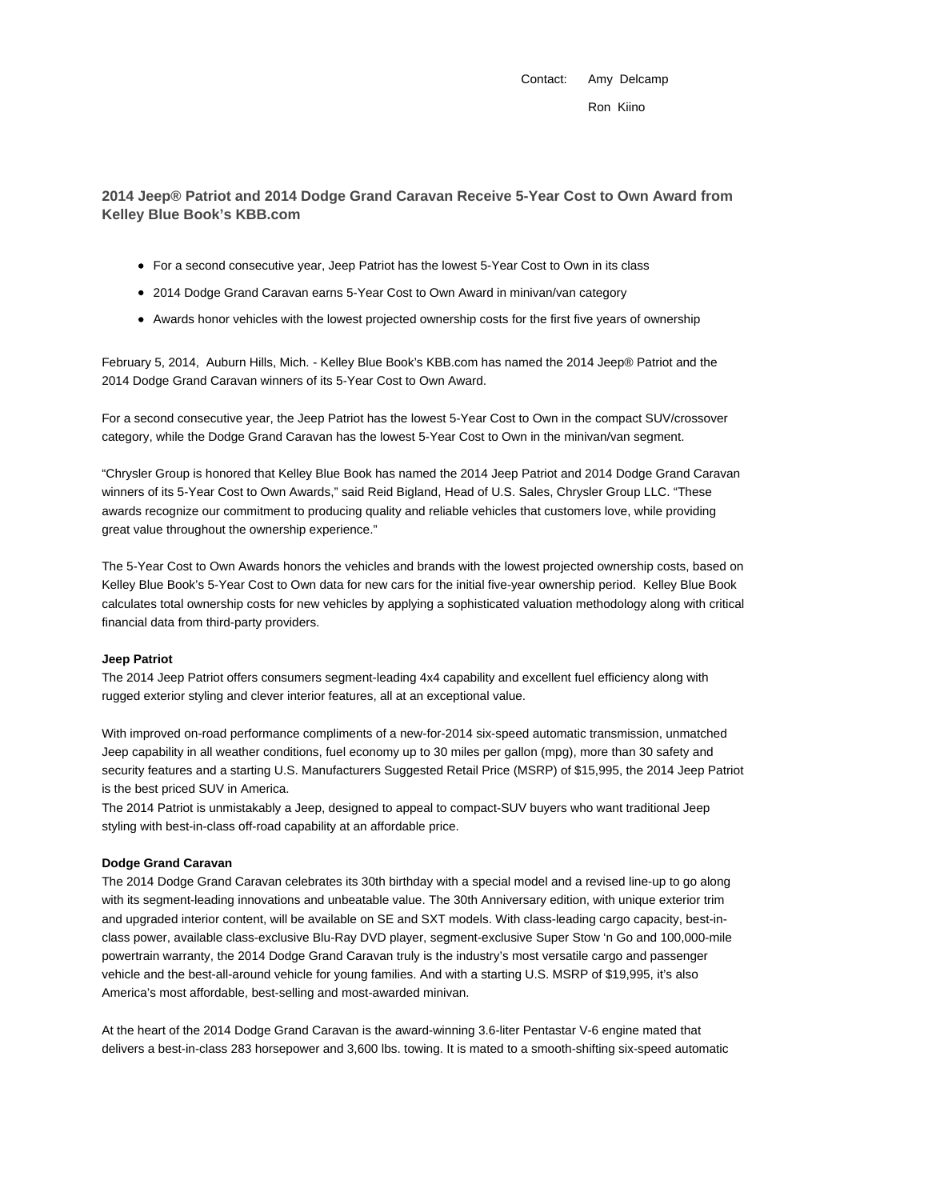Contact: Amy Delcamp Ron Kiino

# **2014 Jeep® Patriot and 2014 Dodge Grand Caravan Receive 5-Year Cost to Own Award from Kelley Blue Book's KBB.com**

- For a second consecutive year, Jeep Patriot has the lowest 5-Year Cost to Own in its class
- 2014 Dodge Grand Caravan earns 5-Year Cost to Own Award in minivan/van category
- Awards honor vehicles with the lowest projected ownership costs for the first five years of ownership

February 5, 2014, Auburn Hills, Mich. - Kelley Blue Book's KBB.com has named the 2014 Jeep® Patriot and the 2014 Dodge Grand Caravan winners of its 5-Year Cost to Own Award.

For a second consecutive year, the Jeep Patriot has the lowest 5-Year Cost to Own in the compact SUV/crossover category, while the Dodge Grand Caravan has the lowest 5-Year Cost to Own in the minivan/van segment.

"Chrysler Group is honored that Kelley Blue Book has named the 2014 Jeep Patriot and 2014 Dodge Grand Caravan winners of its 5-Year Cost to Own Awards," said Reid Bigland, Head of U.S. Sales, Chrysler Group LLC. "These awards recognize our commitment to producing quality and reliable vehicles that customers love, while providing great value throughout the ownership experience."

The 5-Year Cost to Own Awards honors the vehicles and brands with the lowest projected ownership costs, based on Kelley Blue Book's 5-Year Cost to Own data for new cars for the initial five-year ownership period. Kelley Blue Book calculates total ownership costs for new vehicles by applying a sophisticated valuation methodology along with critical financial data from third-party providers.

#### **Jeep Patriot**

The 2014 Jeep Patriot offers consumers segment-leading 4x4 capability and excellent fuel efficiency along with rugged exterior styling and clever interior features, all at an exceptional value.

With improved on-road performance compliments of a new-for-2014 six-speed automatic transmission, unmatched Jeep capability in all weather conditions, fuel economy up to 30 miles per gallon (mpg), more than 30 safety and security features and a starting U.S. Manufacturers Suggested Retail Price (MSRP) of \$15,995, the 2014 Jeep Patriot is the best priced SUV in America.

The 2014 Patriot is unmistakably a Jeep, designed to appeal to compact-SUV buyers who want traditional Jeep styling with best-in-class off-road capability at an affordable price.

### **Dodge Grand Caravan**

The 2014 Dodge Grand Caravan celebrates its 30th birthday with a special model and a revised line-up to go along with its segment-leading innovations and unbeatable value. The 30th Anniversary edition, with unique exterior trim and upgraded interior content, will be available on SE and SXT models. With class-leading cargo capacity, best-inclass power, available class-exclusive Blu-Ray DVD player, segment-exclusive Super Stow 'n Go and 100,000-mile powertrain warranty, the 2014 Dodge Grand Caravan truly is the industry's most versatile cargo and passenger vehicle and the best-all-around vehicle for young families. And with a starting U.S. MSRP of \$19,995, it's also America's most affordable, best-selling and most-awarded minivan.

At the heart of the 2014 Dodge Grand Caravan is the award-winning 3.6-liter Pentastar V-6 engine mated that delivers a best-in-class 283 horsepower and 3,600 lbs. towing. It is mated to a smooth-shifting six-speed automatic